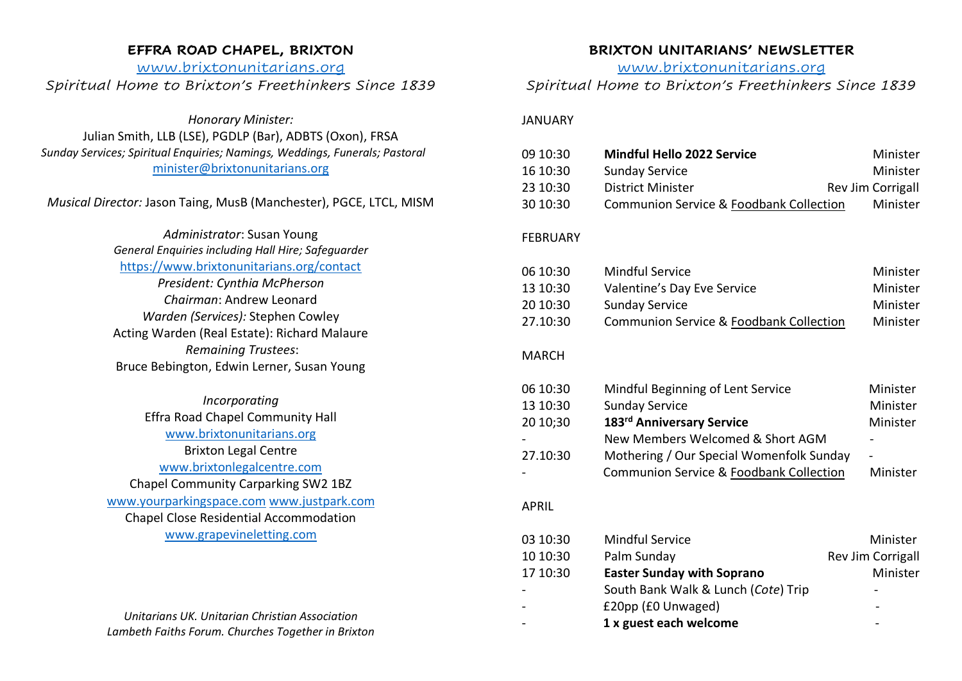### **EFFRA ROAD CHAPEL, BRIXTON**

# [www.brixtonunitarians.org](http://www.brixtonunitarians.org/) *Spiritual Home to Brixton's Freethinkers Since 1839*

*Honorary Minister:* Julian Smith, LLB (LSE), PGDLP (Bar), ADBTS (Oxon), FRSA *Sunday Services; Spiritual Enquiries; Namings, Weddings, Funerals; Pastoral* [minister@brixtonunitarians.org](mailto:minister@brixtonunitarians.org)

## *Musical Director:* Jason Taing, MusB (Manchester), PGCE, LTCL, MISM

*Administrator*: Susan Young *General Enquiries including Hall Hire; Safeguarder* <https://www.brixtonunitarians.org/contact> *President: Cynthia McPherson Chairman*: Andrew Leonard *Warden (Services):* Stephen Cowley Acting Warden (Real Estate): Richard Malaure *Remaining Trustees*: Bruce Bebington, Edwin Lerner, Susan Young

*Incorporating* Effra Road Chapel Community Hall [www.brixtonunitarians.org](http://www.brixtonunitarians.org/) Brixton Legal Centre [www.brixtonlegalcentre.com](http://www.brixtonlegalcentre.com/) Chapel Community Carparking SW2 1BZ [www.yourparkingspace.com](http://www.youngparkingspace.com/) [www.justpark.com](http://www.justpark.com/) Chapel Close Residential Accommodation [www.grapevineletting.com](http://www.grapevineletting.com/)

*Unitarians UK. Unitarian Christian Association Lambeth Faiths Forum. Churches Together in Brixton*

### **BRIXTON UNITARIANS' NEWSLETTER**

[www.brixtonunitarians.org](http://www.brixtonunitarians.org/)

# *Spiritual Home to Brixton's Freethinkers Since 1839*

#### JANUARY

| 09 10:30<br>16 10:30<br>23 10:30<br>30 10:30 | <b>Mindful Hello 2022 Service</b><br><b>Sunday Service</b><br><b>District Minister</b><br>Communion Service & Foodbank Collection | Minister<br>Minister<br>Rev Jim Corrigall<br>Minister |
|----------------------------------------------|-----------------------------------------------------------------------------------------------------------------------------------|-------------------------------------------------------|
| <b>FEBRUARY</b>                              |                                                                                                                                   |                                                       |
| 06 10:30<br>13 10:30                         | <b>Mindful Service</b><br>Valentine's Day Eve Service                                                                             | Minister<br>Minister                                  |
| 20 10:30                                     | <b>Sunday Service</b>                                                                                                             | Minister                                              |
| 27.10:30                                     | Communion Service & Foodbank Collection                                                                                           | Minister                                              |
| <b>MARCH</b>                                 |                                                                                                                                   |                                                       |
| 06 10:30                                     | Mindful Beginning of Lent Service                                                                                                 | Minister                                              |
| 13 10:30                                     | <b>Sunday Service</b>                                                                                                             | Minister                                              |
| 20 10;30                                     | 183rd Anniversary Service                                                                                                         | Minister                                              |
|                                              | New Members Welcomed & Short AGM                                                                                                  |                                                       |
| 27.10:30                                     | Mothering / Our Special Womenfolk Sunday<br><b>Communion Service &amp; Foodbank Collection</b>                                    | Minister                                              |
| <b>APRIL</b>                                 |                                                                                                                                   |                                                       |
|                                              |                                                                                                                                   |                                                       |
| 03 10:30                                     | <b>Mindful Service</b>                                                                                                            | Minister                                              |
| 10 10:30                                     | Palm Sunday                                                                                                                       | Rev Jim Corrigall                                     |
| 17 10:30                                     | <b>Easter Sunday with Soprano</b>                                                                                                 | Minister                                              |
|                                              | South Bank Walk & Lunch (Cote) Trip<br>£20pp (£0 Unwaged)                                                                         |                                                       |
|                                              | 1 x guest each welcome                                                                                                            |                                                       |
|                                              |                                                                                                                                   |                                                       |